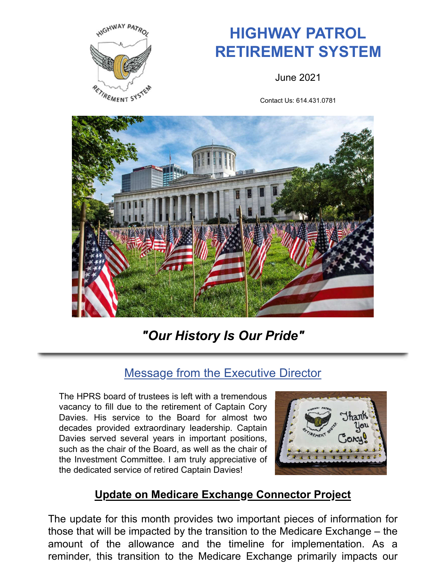

# **HIGHWAY PATROL RETIREMENT SYSTEM**

June 2021

Contact Us: 614.431.0781



*"Our History Is Our Pride"*

### Message from the Executive Director

The HPRS board of trustees is left with a tremendous vacancy to fill due to the retirement of Captain Cory Davies. His service to the Board for almost two decades provided extraordinary leadership. Captain Davies served several years in important positions, such as the chair of the Board, as well as the chair of the Investment Committee. I am truly appreciative of the dedicated service of retired Captain Davies!



#### **Update on Medicare Exchange Connector Project**

The update for this month provides two important pieces of information for those that will be impacted by the transition to the Medicare Exchange – the amount of the allowance and the timeline for implementation. As a reminder, this transition to the Medicare Exchange primarily impacts our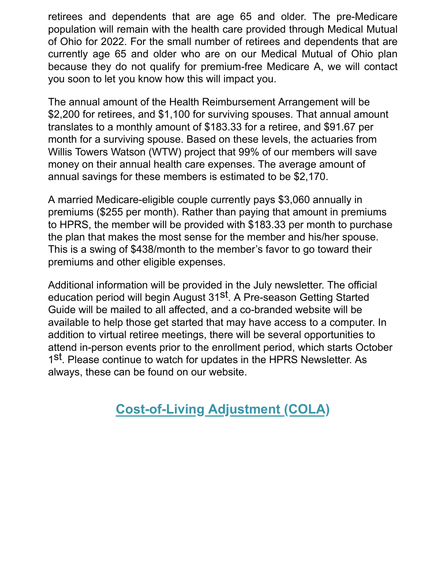retirees and dependents that are age 65 and older. The pre-Medicare population will remain with the health care provided through Medical Mutual of Ohio for 2022. For the small number of retirees and dependents that are currently age 65 and older who are on our Medical Mutual of Ohio plan because they do not qualify for premium-free Medicare A, we will contact you soon to let you know how this will impact you.

The annual amount of the Health Reimbursement Arrangement will be \$2,200 for retirees, and \$1,100 for surviving spouses. That annual amount translates to a monthly amount of \$183.33 for a retiree, and \$91.67 per month for a surviving spouse. Based on these levels, the actuaries from Willis Towers Watson (WTW) project that 99% of our members will save money on their annual health care expenses. The average amount of annual savings for these members is estimated to be \$2,170.

A married Medicare-eligible couple currently pays \$3,060 annually in premiums (\$255 per month). Rather than paying that amount in premiums to HPRS, the member will be provided with \$183.33 per month to purchase the plan that makes the most sense for the member and his/her spouse. This is a swing of \$438/month to the member's favor to go toward their premiums and other eligible expenses.

Additional information will be provided in the July newsletter. The official education period will begin August 31<sup>st</sup>. A Pre-season Getting Started Guide will be mailed to all affected, and a co-branded website will be available to help those get started that may have access to a computer. In addition to virtual retiree meetings, there will be several opportunities to attend in-person events prior to the enrollment period, which starts October 1<sup>st</sup>. Please continue to watch for updates in the HPRS Newsletter. As always, these can be found on our website.

# **Cost-of-Living Adjustment (COLA)**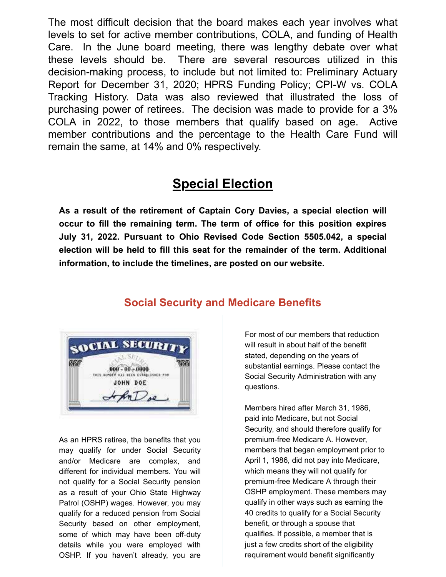The most difficult decision that the board makes each year involves what levels to set for active member contributions, COLA, and funding of Health Care. In the June board meeting, there was lengthy debate over what these levels should be. There are several resources utilized in this decision-making process, to include but not limited to: Preliminary Actuary Report for December 31, 2020; HPRS Funding Policy; CPI-W vs. COLA Tracking History. Data was also reviewed that illustrated the loss of purchasing power of retirees. The decision was made to provide for a 3% COLA in 2022, to those members that qualify based on age. Active member contributions and the percentage to the Health Care Fund will remain the same, at 14% and 0% respectively.

### **Special Election**

**As a result of the retirement of Captain Cory Davies, a special election will occur to fill the remaining term. The term of office for this position expires July 31, 2022. Pursuant to Ohio Revised Code Section 5505.042, a special election will be held to fill this seat for the remainder of the term. Additional information, to include the timelines, are posted on our website.**



#### **Social Security and Medicare Benefits**

As an HPRS retiree, the benefits that you may qualify for under Social Security and/or Medicare are complex, and different for individual members. You will not qualify for a Social Security pension as a result of your Ohio State Highway Patrol (OSHP) wages. However, you may qualify for a reduced pension from Social Security based on other employment, some of which may have been off-duty details while you were employed with OSHP. If you haven't already, you are

For most of our members that reduction will result in about half of the benefit stated, depending on the years of substantial earnings. Please contact the Social Security Administration with any questions.

Members hired after March 31, 1986, paid into Medicare, but not Social Security, and should therefore qualify for premium-free Medicare A. However, members that began employment prior to April 1, 1986, did not pay into Medicare, which means they will not qualify for premium-free Medicare A through their OSHP employment. These members may qualify in other ways such as earning the 40 credits to qualify for a Social Security benefit, or through a spouse that qualifies. If possible, a member that is just a few credits short of the eligibility requirement would benefit significantly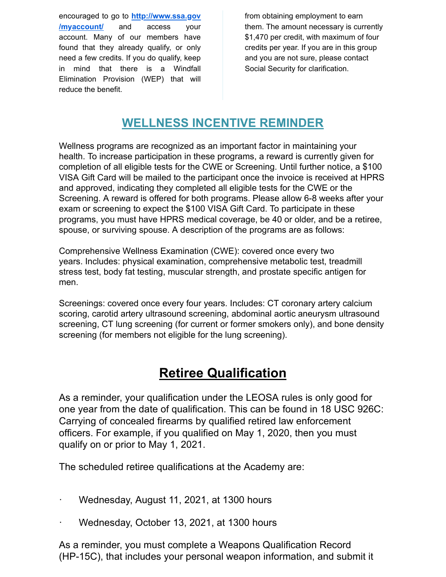encouraged to go to **http://www.ssa.gov /myaccount/** and access your account. Many of our members have found that they already qualify, or only need a few credits. If you do qualify, keep in mind that there is a Windfall Elimination Provision (WEP) that will reduce the benefit.

from obtaining employment to earn them. The amount necessary is currently \$1,470 per credit, with maximum of four credits per year. If you are in this group and you are not sure, please contact Social Security for clarification.

#### **WELLNESS INCENTIVE REMINDER**

Wellness programs are recognized as an important factor in maintaining your health. To increase participation in these programs, a reward is currently given for completion of all eligible tests for the CWE or Screening. Until further notice, a \$100 VISA Gift Card will be mailed to the participant once the invoice is received at HPRS and approved, indicating they completed all eligible tests for the CWE or the Screening. A reward is offered for both programs. Please allow 6-8 weeks after your exam or screening to expect the \$100 VISA Gift Card. To participate in these programs, you must have HPRS medical coverage, be 40 or older, and be a retiree, spouse, or surviving spouse. A description of the programs are as follows:

Comprehensive Wellness Examination (CWE): covered once every two years. Includes: physical examination, comprehensive metabolic test, treadmill stress test, body fat testing, muscular strength, and prostate specific antigen for men.

Screenings: covered once every four years. Includes: CT coronary artery calcium scoring, carotid artery ultrasound screening, abdominal aortic aneurysm ultrasound screening, CT lung screening (for current or former smokers only), and bone density screening (for members not eligible for the lung screening).

# **Retiree Qualification**

As a reminder, your qualification under the LEOSA rules is only good for one year from the date of qualification. This can be found in 18 USC 926C: Carrying of concealed firearms by qualified retired law enforcement officers. For example, if you qualified on May 1, 2020, then you must qualify on or prior to May 1, 2021.

The scheduled retiree qualifications at the Academy are:

- · Wednesday, August 11, 2021, at 1300 hours
- Wednesday, October 13, 2021, at 1300 hours

As a reminder, you must complete a Weapons Qualification Record (HP-15C), that includes your personal weapon information, and submit it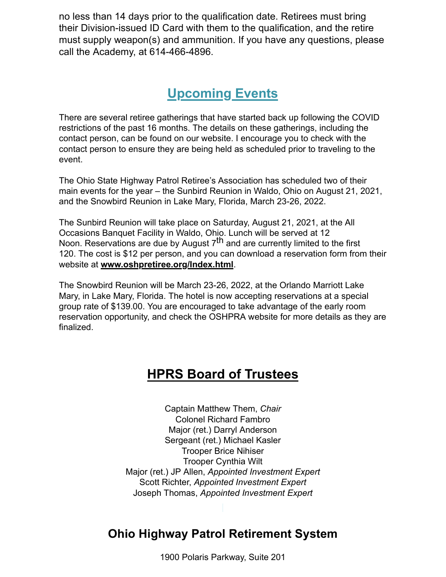no less than 14 days prior to the qualification date. Retirees must bring their Division-issued ID Card with them to the qualification, and the retire must supply weapon(s) and ammunition. If you have any questions, please call the Academy, at 614-466-4896.

# **Upcoming Events**

There are several retiree gatherings that have started back up following the COVID restrictions of the past 16 months. The details on these gatherings, including the contact person, can be found on our website. I encourage you to check with the contact person to ensure they are being held as scheduled prior to traveling to the event.

The Ohio State Highway Patrol Retiree's Association has scheduled two of their main events for the year – the Sunbird Reunion in Waldo, Ohio on August 21, 2021, and the Snowbird Reunion in Lake Mary, Florida, March 23-26, 2022.

The Sunbird Reunion will take place on Saturday, August 21, 2021, at the All Occasions Banquet Facility in Waldo, Ohio. Lunch will be served at 12 Noon. Reservations are due by August  $7<sup>th</sup>$  and are currently limited to the first 120. The cost is \$12 per person, and you can download a reservation form from their website at **www.oshpretiree.org/Index.html**.

The Snowbird Reunion will be March 23-26, 2022, at the Orlando Marriott Lake Mary, in Lake Mary, Florida. The hotel is now accepting reservations at a special group rate of \$139.00. You are encouraged to take advantage of the early room reservation opportunity, and check the OSHPRA website for more details as they are finalized.

# **HPRS Board of Trustees**

Captain Matthew Them, *Chair* Colonel Richard Fambro Major (ret.) Darryl Anderson Sergeant (ret.) Michael Kasler Trooper Brice Nihiser Trooper Cynthia Wilt Major (ret.) JP Allen, *Appointed Investment Expert* Scott Richter, *Appointed Investment Expert* Joseph Thomas, *Appointed Investment Expert*

### **Ohio Highway Patrol Retirement System**